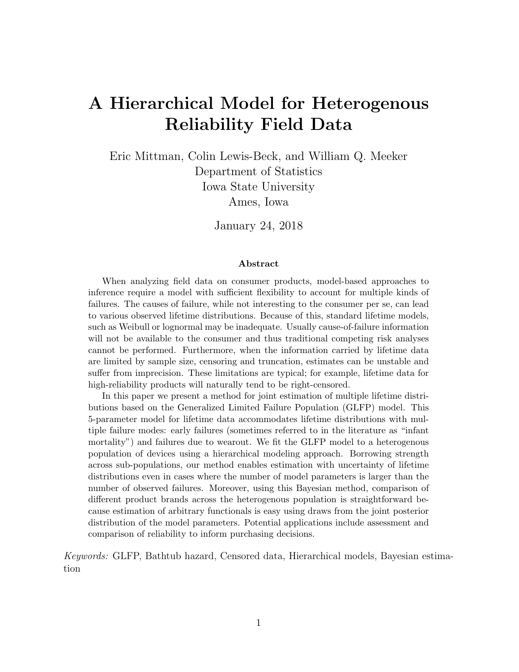# A Hierarchical Model for Heterogenous Reliability Field Data

Eric Mittman, Colin Lewis-Beck, and William Q. Meeker Department of Statistics Iowa State University Ames, Iowa

January 24, 2018

#### Abstract

When analyzing field data on consumer products, model-based approaches to inference require a model with sufficient flexibility to account for multiple kinds of failures. The causes of failure, while not interesting to the consumer per se, can lead to various observed lifetime distributions. Because of this, standard lifetime models, such as Weibull or lognormal may be inadequate. Usually cause-of-failure information will not be available to the consumer and thus traditional competing risk analyses cannot be performed. Furthermore, when the information carried by lifetime data are limited by sample size, censoring and truncation, estimates can be unstable and suffer from imprecision. These limitations are typical; for example, lifetime data for high-reliability products will naturally tend to be right-censored.

In this paper we present a method for joint estimation of multiple lifetime distributions based on the Generalized Limited Failure Population (GLFP) model. This 5-parameter model for lifetime data accommodates lifetime distributions with multiple failure modes: early failures (sometimes referred to in the literature as "infant mortality") and failures due to wearout. We fit the GLFP model to a heterogenous population of devices using a hierarchical modeling approach. Borrowing strength across sub-populations, our method enables estimation with uncertainty of lifetime distributions even in cases where the number of model parameters is larger than the number of observed failures. Moreover, using this Bayesian method, comparison of different product brands across the heterogenous population is straightforward because estimation of arbitrary functionals is easy using draws from the joint posterior distribution of the model parameters. Potential applications include assessment and comparison of reliability to inform purchasing decisions.

Keywords: GLFP, Bathtub hazard, Censored data, Hierarchical models, Bayesian estimation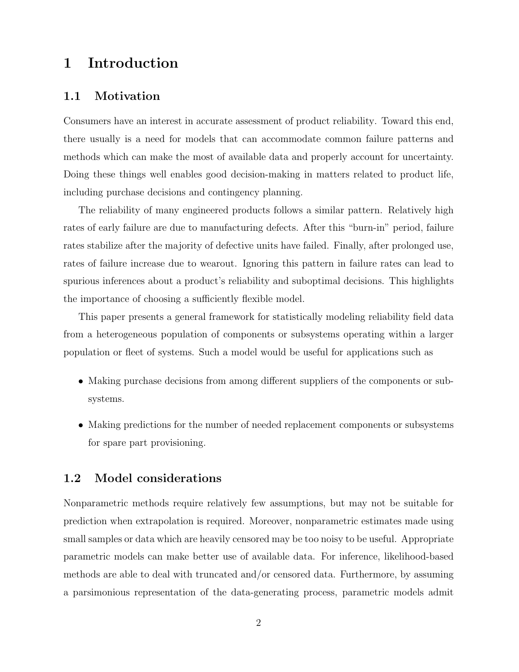### 1 Introduction

#### 1.1 Motivation

Consumers have an interest in accurate assessment of product reliability. Toward this end, there usually is a need for models that can accommodate common failure patterns and methods which can make the most of available data and properly account for uncertainty. Doing these things well enables good decision-making in matters related to product life, including purchase decisions and contingency planning.

The reliability of many engineered products follows a similar pattern. Relatively high rates of early failure are due to manufacturing defects. After this "burn-in" period, failure rates stabilize after the majority of defective units have failed. Finally, after prolonged use, rates of failure increase due to wearout. Ignoring this pattern in failure rates can lead to spurious inferences about a product's reliability and suboptimal decisions. This highlights the importance of choosing a sufficiently flexible model.

This paper presents a general framework for statistically modeling reliability field data from a heterogeneous population of components or subsystems operating within a larger population or fleet of systems. Such a model would be useful for applications such as

- Making purchase decisions from among different suppliers of the components or subsystems.
- Making predictions for the number of needed replacement components or subsystems for spare part provisioning.

#### 1.2 Model considerations

Nonparametric methods require relatively few assumptions, but may not be suitable for prediction when extrapolation is required. Moreover, nonparametric estimates made using small samples or data which are heavily censored may be too noisy to be useful. Appropriate parametric models can make better use of available data. For inference, likelihood-based methods are able to deal with truncated and/or censored data. Furthermore, by assuming a parsimonious representation of the data-generating process, parametric models admit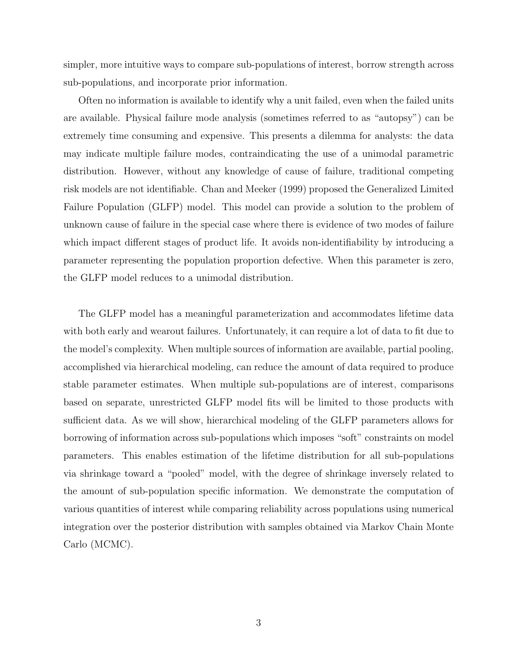simpler, more intuitive ways to compare sub-populations of interest, borrow strength across sub-populations, and incorporate prior information.

Often no information is available to identify why a unit failed, even when the failed units are available. Physical failure mode analysis (sometimes referred to as "autopsy") can be extremely time consuming and expensive. This presents a dilemma for analysts: the data may indicate multiple failure modes, contraindicating the use of a unimodal parametric distribution. However, without any knowledge of cause of failure, traditional competing risk models are not identifiable. Chan and Meeker (1999) proposed the Generalized Limited Failure Population (GLFP) model. This model can provide a solution to the problem of unknown cause of failure in the special case where there is evidence of two modes of failure which impact different stages of product life. It avoids non-identifiability by introducing a parameter representing the population proportion defective. When this parameter is zero, the GLFP model reduces to a unimodal distribution.

The GLFP model has a meaningful parameterization and accommodates lifetime data with both early and wearout failures. Unfortunately, it can require a lot of data to fit due to the model's complexity. When multiple sources of information are available, partial pooling, accomplished via hierarchical modeling, can reduce the amount of data required to produce stable parameter estimates. When multiple sub-populations are of interest, comparisons based on separate, unrestricted GLFP model fits will be limited to those products with sufficient data. As we will show, hierarchical modeling of the GLFP parameters allows for borrowing of information across sub-populations which imposes "soft" constraints on model parameters. This enables estimation of the lifetime distribution for all sub-populations via shrinkage toward a "pooled" model, with the degree of shrinkage inversely related to the amount of sub-population specific information. We demonstrate the computation of various quantities of interest while comparing reliability across populations using numerical integration over the posterior distribution with samples obtained via Markov Chain Monte Carlo (MCMC).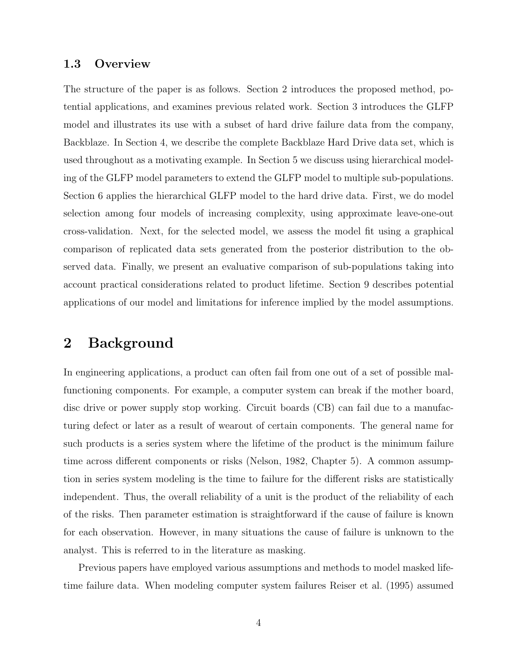### 1.3 Overview

The structure of the paper is as follows. Section 2 introduces the proposed method, potential applications, and examines previous related work. Section 3 introduces the GLFP model and illustrates its use with a subset of hard drive failure data from the company, Backblaze. In Section 4, we describe the complete Backblaze Hard Drive data set, which is used throughout as a motivating example. In Section 5 we discuss using hierarchical modeling of the GLFP model parameters to extend the GLFP model to multiple sub-populations. Section 6 applies the hierarchical GLFP model to the hard drive data. First, we do model selection among four models of increasing complexity, using approximate leave-one-out cross-validation. Next, for the selected model, we assess the model fit using a graphical comparison of replicated data sets generated from the posterior distribution to the observed data. Finally, we present an evaluative comparison of sub-populations taking into account practical considerations related to product lifetime. Section 9 describes potential applications of our model and limitations for inference implied by the model assumptions.

### 2 Background

In engineering applications, a product can often fail from one out of a set of possible malfunctioning components. For example, a computer system can break if the mother board, disc drive or power supply stop working. Circuit boards (CB) can fail due to a manufacturing defect or later as a result of wearout of certain components. The general name for such products is a series system where the lifetime of the product is the minimum failure time across different components or risks (Nelson, 1982, Chapter 5). A common assumption in series system modeling is the time to failure for the different risks are statistically independent. Thus, the overall reliability of a unit is the product of the reliability of each of the risks. Then parameter estimation is straightforward if the cause of failure is known for each observation. However, in many situations the cause of failure is unknown to the analyst. This is referred to in the literature as masking.

Previous papers have employed various assumptions and methods to model masked lifetime failure data. When modeling computer system failures Reiser et al. (1995) assumed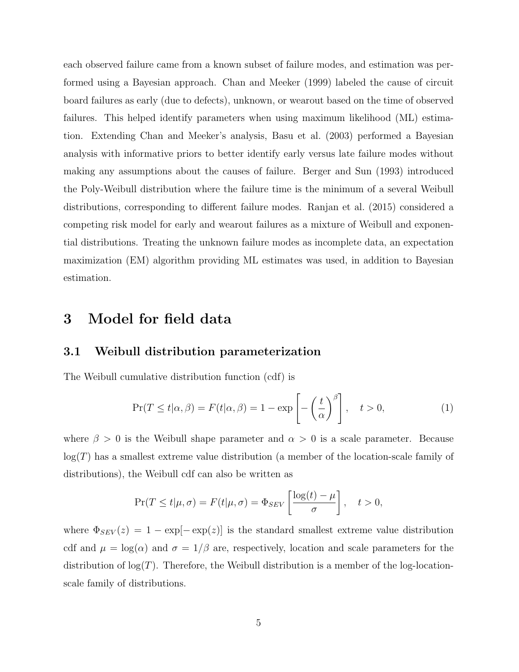each observed failure came from a known subset of failure modes, and estimation was performed using a Bayesian approach. Chan and Meeker (1999) labeled the cause of circuit board failures as early (due to defects), unknown, or wearout based on the time of observed failures. This helped identify parameters when using maximum likelihood (ML) estimation. Extending Chan and Meeker's analysis, Basu et al. (2003) performed a Bayesian analysis with informative priors to better identify early versus late failure modes without making any assumptions about the causes of failure. Berger and Sun (1993) introduced the Poly-Weibull distribution where the failure time is the minimum of a several Weibull distributions, corresponding to different failure modes. Ranjan et al. (2015) considered a competing risk model for early and wearout failures as a mixture of Weibull and exponential distributions. Treating the unknown failure modes as incomplete data, an expectation maximization (EM) algorithm providing ML estimates was used, in addition to Bayesian estimation.

### 3 Model for field data

### 3.1 Weibull distribution parameterization

The Weibull cumulative distribution function (cdf) is

$$
\Pr(T \le t | \alpha, \beta) = F(t | \alpha, \beta) = 1 - \exp\left[-\left(\frac{t}{\alpha}\right)^{\beta}\right], \quad t > 0,
$$
\n(1)

where  $\beta > 0$  is the Weibull shape parameter and  $\alpha > 0$  is a scale parameter. Because  $log(T)$  has a smallest extreme value distribution (a member of the location-scale family of distributions), the Weibull cdf can also be written as

$$
\Pr(T \le t | \mu, \sigma) = F(t | \mu, \sigma) = \Phi_{SEV} \left[ \frac{\log(t) - \mu}{\sigma} \right], \quad t > 0,
$$

where  $\Phi_{SEV}(z) = 1 - \exp[-\exp(z)]$  is the standard smallest extreme value distribution cdf and  $\mu = \log(\alpha)$  and  $\sigma = 1/\beta$  are, respectively, location and scale parameters for the distribution of  $log(T)$ . Therefore, the Weibull distribution is a member of the log-locationscale family of distributions.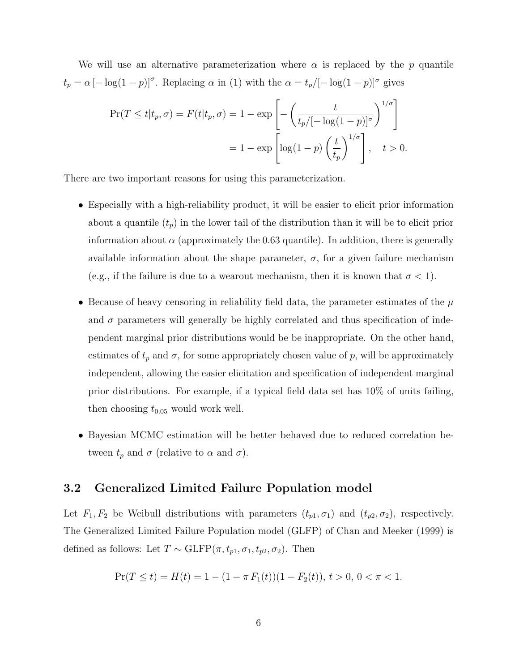We will use an alternative parameterization where  $\alpha$  is replaced by the p quantile  $t_p = \alpha \left[-\log(1-p)\right]^\sigma$ . Replacing  $\alpha$  in (1) with the  $\alpha = t_p/[-\log(1-p)]^\sigma$  gives

$$
\Pr(T \le t | t_p, \sigma) = F(t | t_p, \sigma) = 1 - \exp\left[-\left(\frac{t}{t_p/[-\log(1-p)]^{\sigma}}\right)^{1/\sigma}\right]
$$

$$
= 1 - \exp\left[\log(1-p)\left(\frac{t}{t_p}\right)^{1/\sigma}\right], \quad t > 0.
$$

There are two important reasons for using this parameterization.

- Especially with a high-reliability product, it will be easier to elicit prior information about a quantile  $(t_p)$  in the lower tail of the distribution than it will be to elicit prior information about  $\alpha$  (approximately the 0.63 quantile). In addition, there is generally available information about the shape parameter,  $\sigma$ , for a given failure mechanism (e.g., if the failure is due to a wearout mechanism, then it is known that  $\sigma < 1$ ).
- Because of heavy censoring in reliability field data, the parameter estimates of the  $\mu$ and  $\sigma$  parameters will generally be highly correlated and thus specification of independent marginal prior distributions would be be inappropriate. On the other hand, estimates of  $t_p$  and  $\sigma$ , for some appropriately chosen value of p, will be approximately independent, allowing the easier elicitation and specification of independent marginal prior distributions. For example, if a typical field data set has 10% of units failing, then choosing  $t_{0.05}$  would work well.
- Bayesian MCMC estimation will be better behaved due to reduced correlation between  $t_p$  and  $\sigma$  (relative to  $\alpha$  and  $\sigma$ ).

### 3.2 Generalized Limited Failure Population model

Let  $F_1, F_2$  be Weibull distributions with parameters  $(t_{p1}, \sigma_1)$  and  $(t_{p2}, \sigma_2)$ , respectively. The Generalized Limited Failure Population model (GLFP) of Chan and Meeker (1999) is defined as follows: Let  $T \sim \text{GLFP}(\pi, t_{p1}, \sigma_1, t_{p2}, \sigma_2)$ . Then

$$
\Pr(T \le t) = H(t) = 1 - (1 - \pi F_1(t))(1 - F_2(t)), \, t > 0, \, 0 < \pi < 1.
$$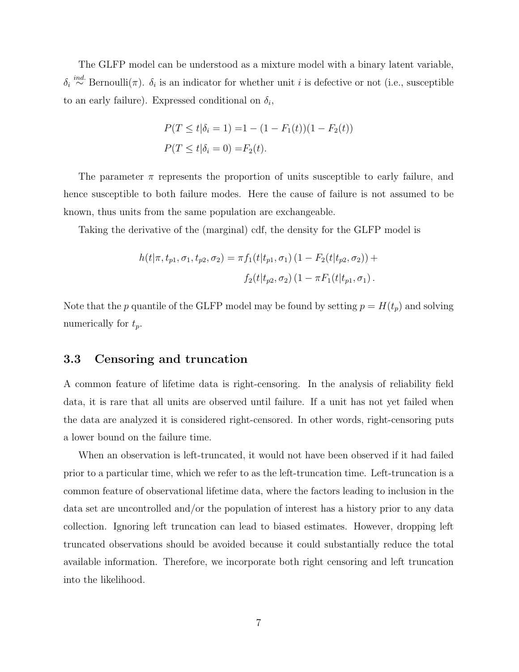The GLFP model can be understood as a mixture model with a binary latent variable,  $\delta_i \stackrel{ind.}{\sim} \text{Bernoulli}(\pi)$ .  $\delta_i$  is an indicator for whether unit i is defective or not (i.e., susceptible to an early failure). Expressed conditional on  $\delta_i$ ,

$$
P(T \le t | \delta_i = 1) = 1 - (1 - F_1(t))(1 - F_2(t))
$$
  

$$
P(T \le t | \delta_i = 0) = F_2(t).
$$

The parameter  $\pi$  represents the proportion of units susceptible to early failure, and hence susceptible to both failure modes. Here the cause of failure is not assumed to be known, thus units from the same population are exchangeable.

Taking the derivative of the (marginal) cdf, the density for the GLFP model is

$$
h(t|\pi, t_{p1}, \sigma_1, t_{p2}, \sigma_2) = \pi f_1(t|t_{p1}, \sigma_1) (1 - F_2(t|t_{p2}, \sigma_2)) +
$$
  

$$
f_2(t|t_{p2}, \sigma_2) (1 - \pi F_1(t|t_{p1}, \sigma_1).
$$

Note that the p quantile of the GLFP model may be found by setting  $p = H(t_p)$  and solving numerically for  $t_p$ .

### 3.3 Censoring and truncation

A common feature of lifetime data is right-censoring. In the analysis of reliability field data, it is rare that all units are observed until failure. If a unit has not yet failed when the data are analyzed it is considered right-censored. In other words, right-censoring puts a lower bound on the failure time.

When an observation is left-truncated, it would not have been observed if it had failed prior to a particular time, which we refer to as the left-truncation time. Left-truncation is a common feature of observational lifetime data, where the factors leading to inclusion in the data set are uncontrolled and/or the population of interest has a history prior to any data collection. Ignoring left truncation can lead to biased estimates. However, dropping left truncated observations should be avoided because it could substantially reduce the total available information. Therefore, we incorporate both right censoring and left truncation into the likelihood.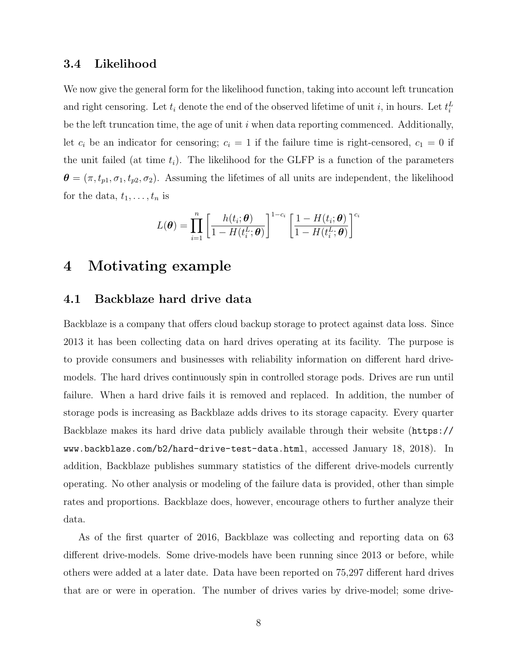#### 3.4 Likelihood

We now give the general form for the likelihood function, taking into account left truncation and right censoring. Let  $t_i$  denote the end of the observed lifetime of unit i, in hours. Let  $t_i^L$ be the left truncation time, the age of unit  $i$  when data reporting commenced. Additionally, let  $c_i$  be an indicator for censoring;  $c_i = 1$  if the failure time is right-censored,  $c_1 = 0$  if the unit failed (at time  $t_i$ ). The likelihood for the GLFP is a function of the parameters  $\boldsymbol{\theta} = (\pi, t_{p1}, \sigma_1, t_{p2}, \sigma_2)$ . Assuming the lifetimes of all units are independent, the likelihood for the data,  $t_1, \ldots, t_n$  is

$$
L(\boldsymbol{\theta}) = \prod_{i=1}^{n} \left[ \frac{h(t_i; \boldsymbol{\theta})}{1 - H(t_i^L; \boldsymbol{\theta})} \right]^{1 - c_i} \left[ \frac{1 - H(t_i; \boldsymbol{\theta})}{1 - H(t_i^L; \boldsymbol{\theta})} \right]^{c_i}
$$

### 4 Motivating example

### 4.1 Backblaze hard drive data

Backblaze is a company that offers cloud backup storage to protect against data loss. Since 2013 it has been collecting data on hard drives operating at its facility. The purpose is to provide consumers and businesses with reliability information on different hard drivemodels. The hard drives continuously spin in controlled storage pods. Drives are run until failure. When a hard drive fails it is removed and replaced. In addition, the number of storage pods is increasing as Backblaze adds drives to its storage capacity. Every quarter Backblaze makes its hard drive data publicly available through their website (https:// www.backblaze.com/b2/hard-drive-test-data.html, accessed January 18, 2018). In addition, Backblaze publishes summary statistics of the different drive-models currently operating. No other analysis or modeling of the failure data is provided, other than simple rates and proportions. Backblaze does, however, encourage others to further analyze their data.

As of the first quarter of 2016, Backblaze was collecting and reporting data on 63 different drive-models. Some drive-models have been running since 2013 or before, while others were added at a later date. Data have been reported on 75,297 different hard drives that are or were in operation. The number of drives varies by drive-model; some drive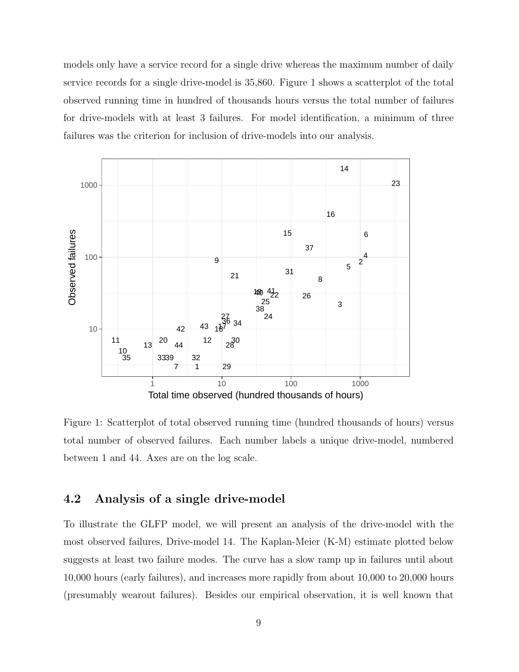models only have a service record for a single drive whereas the maximum number of daily service records for a single drive-model is 35,860. Figure 1 shows a scatterplot of the total observed running time in hundred of thousands hours versus the total number of failures for drive-models with at least 3 failures. For model identification, a minimum of three failures was the criterion for inclusion of drive-models into our analysis.



Figure 1: Scatterplot of total observed running time (hundred thousands of hours) versus total number of observed failures. Each number labels a unique drive-model, numbered between 1 and 44. Axes are on the log scale.

### 4.2 Analysis of a single drive-model

To illustrate the GLFP model, we will present an analysis of the drive-model with the most observed failures, Drive-model 14. The Kaplan-Meier (K-M) estimate plotted below suggests at least two failure modes. The curve has a slow ramp up in failures until about 10,000 hours (early failures), and increases more rapidly from about 10,000 to 20,000 hours (presumably wearout failures). Besides our empirical observation, it is well known that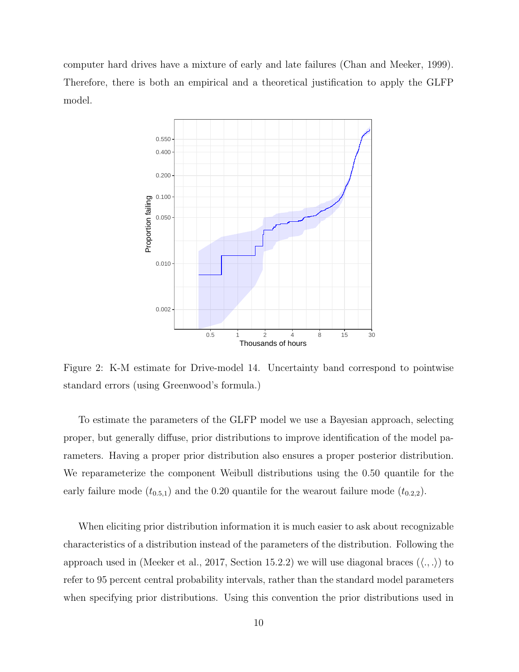computer hard drives have a mixture of early and late failures (Chan and Meeker, 1999). Therefore, there is both an empirical and a theoretical justification to apply the GLFP model.



Figure 2: K-M estimate for Drive-model 14. Uncertainty band correspond to pointwise standard errors (using Greenwood's formula.)

To estimate the parameters of the GLFP model we use a Bayesian approach, selecting proper, but generally diffuse, prior distributions to improve identification of the model parameters. Having a proper prior distribution also ensures a proper posterior distribution. We reparameterize the component Weibull distributions using the 0.50 quantile for the early failure mode  $(t_{0.5,1})$  and the 0.20 quantile for the wearout failure mode  $(t_{0.2,2})$ .

When eliciting prior distribution information it is much easier to ask about recognizable characteristics of a distribution instead of the parameters of the distribution. Following the approach used in (Meeker et al., 2017, Section 15.2.2) we will use diagonal braces  $(\langle ., . \rangle)$  to refer to 95 percent central probability intervals, rather than the standard model parameters when specifying prior distributions. Using this convention the prior distributions used in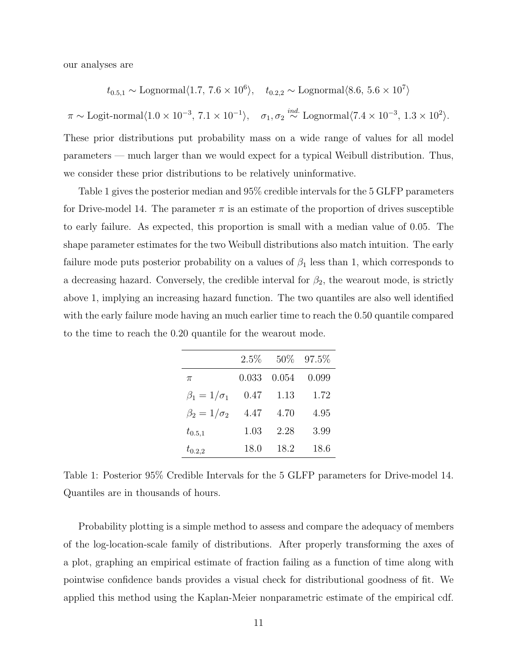our analyses are

$$
t_{0.5,1}
$$
 ~ Lognormal $\langle 1.7, 7.6 \times 10^6 \rangle$ ,  $t_{0.2,2}$  ~ Lognormal $\langle 8.6, 5.6 \times 10^7 \rangle$ 

 $\pi \sim \text{Logit-normal}\langle1.0 \times 10^{-3},\, 7.1 \times 10^{-1}\rangle, \quad \sigma_1, \sigma_2 \stackrel{ind.}{\sim} \text{Lognormal}\langle7.4 \times 10^{-3},\, 1.3 \times 10^2\rangle.$ These prior distributions put probability mass on a wide range of values for all model parameters — much larger than we would expect for a typical Weibull distribution. Thus,

we consider these prior distributions to be relatively uninformative.

Table 1 gives the posterior median and 95% credible intervals for the 5 GLFP parameters for Drive-model 14. The parameter  $\pi$  is an estimate of the proportion of drives susceptible to early failure. As expected, this proportion is small with a median value of 0.05. The shape parameter estimates for the two Weibull distributions also match intuition. The early failure mode puts posterior probability on a values of  $\beta_1$  less than 1, which corresponds to a decreasing hazard. Conversely, the credible interval for  $\beta_2$ , the wearout mode, is strictly above 1, implying an increasing hazard function. The two quantiles are also well identified with the early failure mode having an much earlier time to reach the 0.50 quantile compared to the time to reach the 0.20 quantile for the wearout mode.

|                      | $2.5\%$ | 50%   | 97.5% |
|----------------------|---------|-------|-------|
| $\pi$                | 0.033   | 0.054 | 0.099 |
| $\beta_1=1/\sigma_1$ | 0.47    | 1.13  | 1.72  |
| $\beta_2=1/\sigma_2$ | 4.47    | 4.70  | 4.95  |
| $t_{0.5,1}$          | 1.03    | 2.28  | 3.99  |
| $t_{0.2,2}$          | 18.0    | 18.2  | 18.6  |

Table 1: Posterior 95% Credible Intervals for the 5 GLFP parameters for Drive-model 14. Quantiles are in thousands of hours.

Probability plotting is a simple method to assess and compare the adequacy of members of the log-location-scale family of distributions. After properly transforming the axes of a plot, graphing an empirical estimate of fraction failing as a function of time along with pointwise confidence bands provides a visual check for distributional goodness of fit. We applied this method using the Kaplan-Meier nonparametric estimate of the empirical cdf.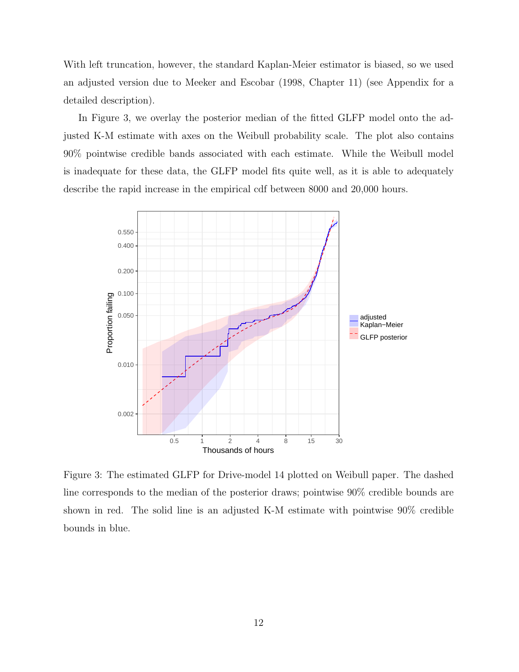With left truncation, however, the standard Kaplan-Meier estimator is biased, so we used an adjusted version due to Meeker and Escobar (1998, Chapter 11) (see Appendix for a detailed description).

In Figure 3, we overlay the posterior median of the fitted GLFP model onto the adjusted K-M estimate with axes on the Weibull probability scale. The plot also contains 90% pointwise credible bands associated with each estimate. While the Weibull model is inadequate for these data, the GLFP model fits quite well, as it is able to adequately describe the rapid increase in the empirical cdf between 8000 and 20,000 hours.



Figure 3: The estimated GLFP for Drive-model 14 plotted on Weibull paper. The dashed line corresponds to the median of the posterior draws; pointwise 90% credible bounds are shown in red. The solid line is an adjusted K-M estimate with pointwise 90% credible bounds in blue.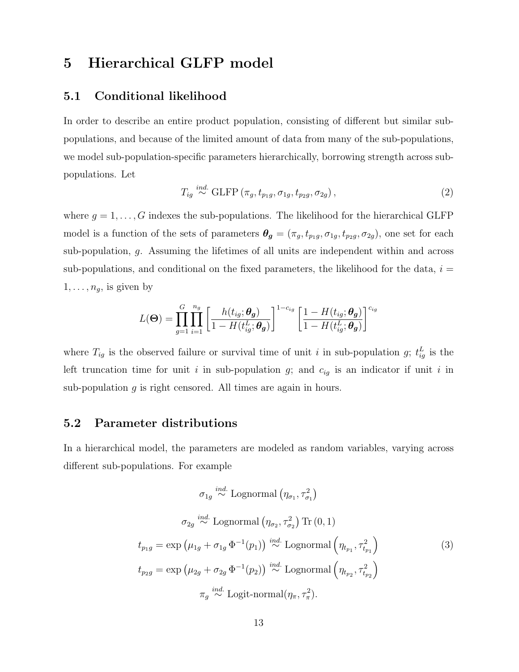# 5 Hierarchical GLFP model

### 5.1 Conditional likelihood

In order to describe an entire product population, consisting of different but similar subpopulations, and because of the limited amount of data from many of the sub-populations, we model sub-population-specific parameters hierarchically, borrowing strength across subpopulations. Let

$$
T_{ig} \stackrel{ind.}{\sim} \text{GLFP} \left( \pi_g, t_{p_1g}, \sigma_{1g}, t_{p_2g}, \sigma_{2g} \right), \tag{2}
$$

where  $g = 1, \ldots, G$  indexes the sub-populations. The likelihood for the hierarchical GLFP model is a function of the sets of parameters  $\theta_g = (\pi_g, t_{p_1g}, \sigma_{1g}, t_{p_2g}, \sigma_{2g})$ , one set for each sub-population, g. Assuming the lifetimes of all units are independent within and across sub-populations, and conditional on the fixed parameters, the likelihood for the data,  $i =$  $1, \ldots, n_g$ , is given by

$$
L(\mathbf{\Theta}) = \prod_{g=1}^{G} \prod_{i=1}^{n_g} \left[ \frac{h(t_{ig}; \boldsymbol{\theta_g})}{1 - H(t_{ig}^L; \boldsymbol{\theta_g})} \right]^{1 - c_{ig}} \left[ \frac{1 - H(t_{ig}; \boldsymbol{\theta_g})}{1 - H(t_{ig}^L; \boldsymbol{\theta_g})} \right]^{c_{ig}}
$$

where  $T_{ig}$  is the observed failure or survival time of unit i in sub-population g;  $t_{ig}^L$  is the left truncation time for unit i in sub-population  $g$ ; and  $c_{ig}$  is an indicator if unit i in sub-population g is right censored. All times are again in hours.

### 5.2 Parameter distributions

In a hierarchical model, the parameters are modeled as random variables, varying across different sub-populations. For example

$$
\sigma_{1g} \stackrel{ind.}{\sim} \text{Lognormal} \left(\eta_{\sigma_1}, \tau_{\sigma_1}^2\right)
$$
\n
$$
\sigma_{2g} \stackrel{ind.}{\sim} \text{Lognormal} \left(\eta_{\sigma_2}, \tau_{\sigma_2}^2\right) \text{Tr} \left(0, 1\right)
$$
\n
$$
t_{p_1g} = \exp\left(\mu_{1g} + \sigma_{1g} \Phi^{-1}(p_1)\right) \stackrel{ind.}{\sim} \text{Lognormal} \left(\eta_{t_{p_1}}, \tau_{t_{p_1}}^2\right)
$$
\n
$$
t_{p_2g} = \exp\left(\mu_{2g} + \sigma_{2g} \Phi^{-1}(p_2)\right) \stackrel{ind.}{\sim} \text{Lognormal} \left(\eta_{t_{p_2}}, \tau_{t_{p_2}}^2\right)
$$
\n
$$
\pi_g \stackrel{ind.}{\sim} \text{Logit-normal} \left(\eta_{\pi}, \tau_{\pi}^2\right).
$$
\n(3)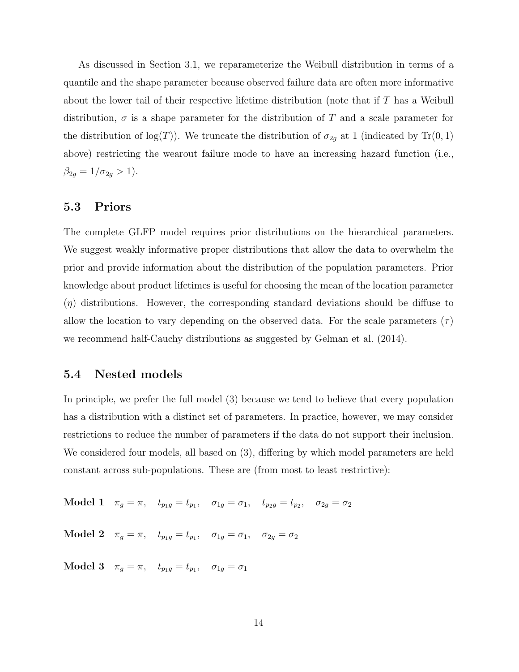As discussed in Section 3.1, we reparameterize the Weibull distribution in terms of a quantile and the shape parameter because observed failure data are often more informative about the lower tail of their respective lifetime distribution (note that if T has a Weibull distribution,  $\sigma$  is a shape parameter for the distribution of T and a scale parameter for the distribution of  $log(T)$ ). We truncate the distribution of  $\sigma_{2g}$  at 1 (indicated by Tr(0, 1) above) restricting the wearout failure mode to have an increasing hazard function (i.e.,  $\beta_{2g} = 1/\sigma_{2g} > 1$ ).

### 5.3 Priors

The complete GLFP model requires prior distributions on the hierarchical parameters. We suggest weakly informative proper distributions that allow the data to overwhelm the prior and provide information about the distribution of the population parameters. Prior knowledge about product lifetimes is useful for choosing the mean of the location parameter  $(\eta)$  distributions. However, the corresponding standard deviations should be diffuse to allow the location to vary depending on the observed data. For the scale parameters  $(\tau)$ we recommend half-Cauchy distributions as suggested by Gelman et al. (2014).

#### 5.4 Nested models

In principle, we prefer the full model (3) because we tend to believe that every population has a distribution with a distinct set of parameters. In practice, however, we may consider restrictions to reduce the number of parameters if the data do not support their inclusion. We considered four models, all based on (3), differing by which model parameters are held constant across sub-populations. These are (from most to least restrictive):

Model 1  $\pi_g = \pi$ ,  $t_{p_1g} = t_{p_1}$ ,  $\sigma_{1g} = \sigma_1$ ,  $t_{p_2g} = t_{p_2}$ ,  $\sigma_{2g} = \sigma_2$ 

 $\textbf{Model 2} \quad \pi_g = \pi, \quad t_{p_1g} = t_{p_1}, \quad \sigma_{1g} = \sigma_1, \quad \sigma_{2g} = \sigma_2$ 

 $\textbf{Model 3} \quad \pi_g = \pi, \quad t_{p_1g} = t_{p_1}, \quad \sigma_{1g} = \sigma_1$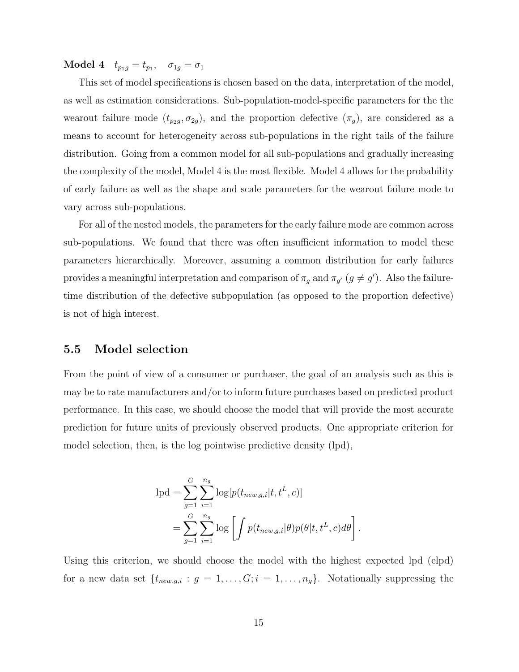$\textbf{Model 4} \quad t_{p_1g} = t_{p_1}, \quad \sigma_{1g} = \sigma_1$ 

This set of model specifications is chosen based on the data, interpretation of the model, as well as estimation considerations. Sub-population-model-specific parameters for the the wearout failure mode  $(t_{p_2g}, \sigma_{2g})$ , and the proportion defective  $(\pi_g)$ , are considered as a means to account for heterogeneity across sub-populations in the right tails of the failure distribution. Going from a common model for all sub-populations and gradually increasing the complexity of the model, Model 4 is the most flexible. Model 4 allows for the probability of early failure as well as the shape and scale parameters for the wearout failure mode to vary across sub-populations.

For all of the nested models, the parameters for the early failure mode are common across sub-populations. We found that there was often insufficient information to model these parameters hierarchically. Moreover, assuming a common distribution for early failures provides a meaningful interpretation and comparison of  $\pi_g$  and  $\pi_{g'}$   $(g \neq g')$ . Also the failuretime distribution of the defective subpopulation (as opposed to the proportion defective) is not of high interest.

### 5.5 Model selection

From the point of view of a consumer or purchaser, the goal of an analysis such as this is may be to rate manufacturers and/or to inform future purchases based on predicted product performance. In this case, we should choose the model that will provide the most accurate prediction for future units of previously observed products. One appropriate criterion for model selection, then, is the log pointwise predictive density (lpd),

$$
\begin{split} \text{lpd} &= \sum_{g=1}^{G} \sum_{i=1}^{n_g} \log[p(t_{new,g,i}|t,t^L,c)] \\ &= \sum_{g=1}^{G} \sum_{i=1}^{n_g} \log \left[ \int p(t_{new,g,i}|\theta) p(\theta|t,t^L,c) d\theta \right]. \end{split}
$$

Using this criterion, we should choose the model with the highest expected lpd (elpd) for a new data set  $\{t_{new,g,i}: g = 1, \ldots, G; i = 1, \ldots, n_g\}$ . Notationally suppressing the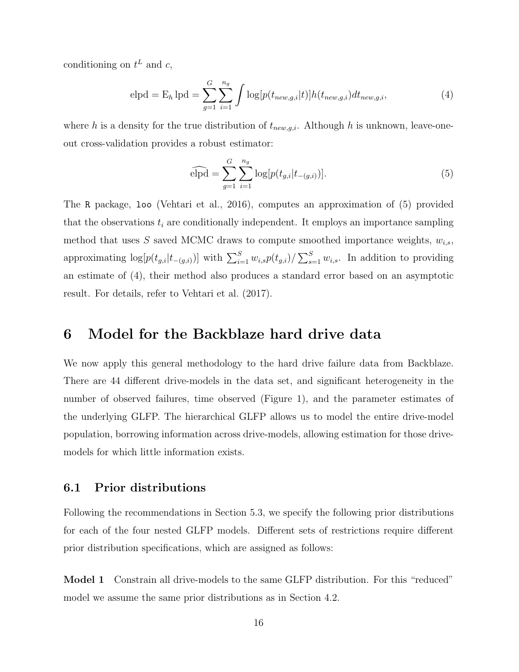conditioning on  $t^L$  and c,

$$
elpd = E_h \, lpd = \sum_{g=1}^{G} \sum_{i=1}^{n_g} \int \log[p(t_{new,g,i}|t)] h(t_{new,g,i}) dt_{new,g,i}, \tag{4}
$$

where h is a density for the true distribution of  $t_{new,g,i}$ . Although h is unknown, leave-oneout cross-validation provides a robust estimator:

$$
\widehat{\text{elpd}} = \sum_{g=1}^{G} \sum_{i=1}^{n_g} \log[p(t_{g,i}|t_{-(g,i)})]. \tag{5}
$$

The R package, loo (Vehtari et al., 2016), computes an approximation of (5) provided that the observations  $t_i$  are conditionally independent. It employs an importance sampling method that uses S saved MCMC draws to compute smoothed importance weights,  $w_{i,s}$ , approximating  $log[p(t_{g,i}|t_{-(g,i)})]$  with  $\sum_{i=1}^{S} w_{i,s}p(t_{g,i})/\sum_{s=1}^{S} w_{i,s}$ . In addition to providing an estimate of (4), their method also produces a standard error based on an asymptotic result. For details, refer to Vehtari et al. (2017).

### 6 Model for the Backblaze hard drive data

We now apply this general methodology to the hard drive failure data from Backblaze. There are 44 different drive-models in the data set, and significant heterogeneity in the number of observed failures, time observed (Figure 1), and the parameter estimates of the underlying GLFP. The hierarchical GLFP allows us to model the entire drive-model population, borrowing information across drive-models, allowing estimation for those drivemodels for which little information exists.

### 6.1 Prior distributions

Following the recommendations in Section 5.3, we specify the following prior distributions for each of the four nested GLFP models. Different sets of restrictions require different prior distribution specifications, which are assigned as follows:

Model 1 Constrain all drive-models to the same GLFP distribution. For this "reduced" model we assume the same prior distributions as in Section 4.2.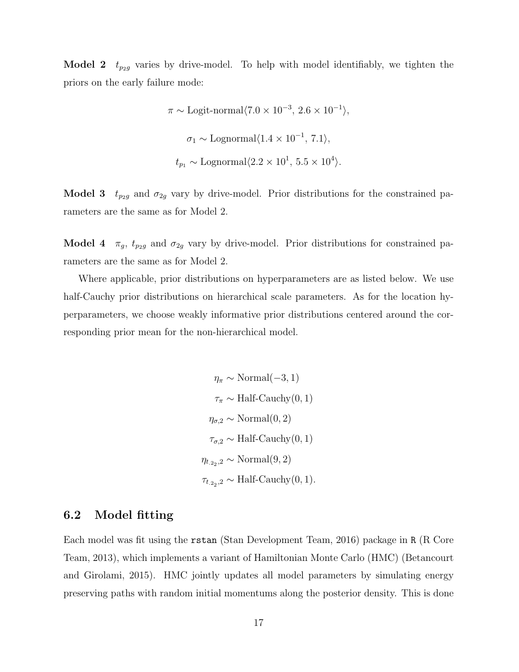**Model 2**  $t_{p2g}$  varies by drive-model. To help with model identifiably, we tighten the priors on the early failure mode:

$$
\pi \sim
$$
 Logit-normal $\langle 7.0 \times 10^{-3}, 2.6 \times 10^{-1} \rangle$ ,  
\n $\sigma_1 \sim$  Lognormal $\langle 1.4 \times 10^{-1}, 7.1 \rangle$ ,  
\n $t_{p_1} \sim$  Lognormal $\langle 2.2 \times 10^1, 5.5 \times 10^4 \rangle$ .

**Model 3**  $t_{p2g}$  and  $\sigma_{2g}$  vary by drive-model. Prior distributions for the constrained parameters are the same as for Model 2.

**Model 4**  $\pi_g$ ,  $t_{p_2g}$  and  $\sigma_{2g}$  vary by drive-model. Prior distributions for constrained parameters are the same as for Model 2.

Where applicable, prior distributions on hyperparameters are as listed below. We use half-Cauchy prior distributions on hierarchical scale parameters. As for the location hyperparameters, we choose weakly informative prior distributions centered around the corresponding prior mean for the non-hierarchical model.

> $\eta_{\pi} \sim \text{Normal}(-3, 1)$  $\tau_{\pi} \sim \text{Half-Cauchy}(0, 1)$  $\eta_{\sigma,2} \sim \text{Normal}(0,2)$  $\tau_{\sigma,2} \sim \text{Half-Cauchy}(0,1)$  $\eta_{t,2_2,2} \sim \text{Normal}(9,2)$  $\tau_{t_{.2_2},2} \sim \text{Half-Cauchy}(0,1).$

### 6.2 Model fitting

Each model was fit using the rstan (Stan Development Team, 2016) package in R (R Core Team, 2013), which implements a variant of Hamiltonian Monte Carlo (HMC) (Betancourt and Girolami, 2015). HMC jointly updates all model parameters by simulating energy preserving paths with random initial momentums along the posterior density. This is done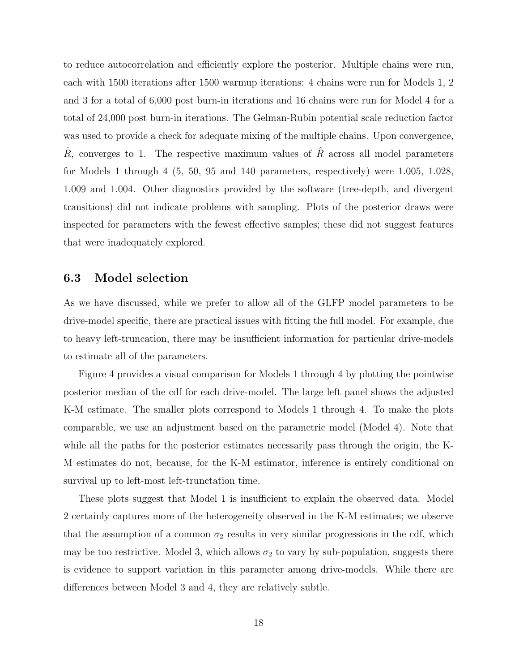to reduce autocorrelation and efficiently explore the posterior. Multiple chains were run, each with 1500 iterations after 1500 warmup iterations: 4 chains were run for Models 1, 2 and 3 for a total of 6,000 post burn-in iterations and 16 chains were run for Model 4 for a total of 24,000 post burn-in iterations. The Gelman-Rubin potential scale reduction factor was used to provide a check for adequate mixing of the multiple chains. Upon convergence,  $\hat{R}$ , converges to 1. The respective maximum values of  $\hat{R}$  across all model parameters for Models 1 through 4 (5, 50, 95 and 140 parameters, respectively) were 1.005, 1.028, 1.009 and 1.004. Other diagnostics provided by the software (tree-depth, and divergent transitions) did not indicate problems with sampling. Plots of the posterior draws were inspected for parameters with the fewest effective samples; these did not suggest features that were inadequately explored.

#### 6.3 Model selection

As we have discussed, while we prefer to allow all of the GLFP model parameters to be drive-model specific, there are practical issues with fitting the full model. For example, due to heavy left-truncation, there may be insufficient information for particular drive-models to estimate all of the parameters.

Figure 4 provides a visual comparison for Models 1 through 4 by plotting the pointwise posterior median of the cdf for each drive-model. The large left panel shows the adjusted K-M estimate. The smaller plots correspond to Models 1 through 4. To make the plots comparable, we use an adjustment based on the parametric model (Model 4). Note that while all the paths for the posterior estimates necessarily pass through the origin, the K-M estimates do not, because, for the K-M estimator, inference is entirely conditional on survival up to left-most left-trunctation time.

These plots suggest that Model 1 is insufficient to explain the observed data. Model 2 certainly captures more of the heterogeneity observed in the K-M estimates; we observe that the assumption of a common  $\sigma_2$  results in very similar progressions in the cdf, which may be too restrictive. Model 3, which allows  $\sigma_2$  to vary by sub-population, suggests there is evidence to support variation in this parameter among drive-models. While there are differences between Model 3 and 4, they are relatively subtle.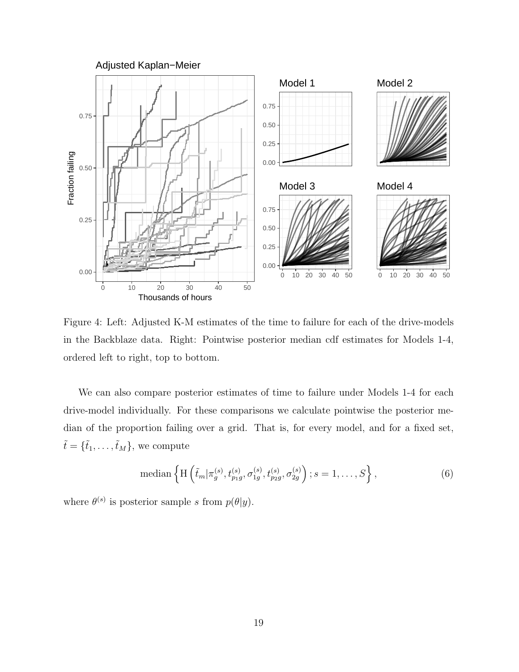

Figure 4: Left: Adjusted K-M estimates of the time to failure for each of the drive-models in the Backblaze data. Right: Pointwise posterior median cdf estimates for Models 1-4, ordered left to right, top to bottom.

We can also compare posterior estimates of time to failure under Models 1-4 for each drive-model individually. For these comparisons we calculate pointwise the posterior median of the proportion failing over a grid. That is, for every model, and for a fixed set,  $\tilde{t} = {\tilde{t}_1, \ldots, \tilde{t}_M}$ , we compute

median 
$$
\left\{ \mathcal{H} \left( \tilde{t}_m | \pi_g^{(s)}, t_{p_1g}^{(s)}, \sigma_{1g}^{(s)}, t_{p_2g}^{(s)}, \sigma_{2g}^{(s)} \right) ; s = 1, \dots, S \right\},
$$
 (6)

where  $\theta^{(s)}$  is posterior sample s from  $p(\theta|y)$ .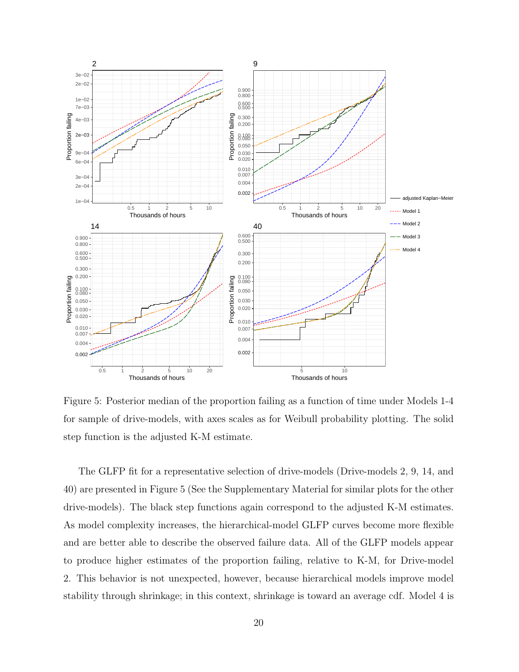

Figure 5: Posterior median of the proportion failing as a function of time under Models 1-4 for sample of drive-models, with axes scales as for Weibull probability plotting. The solid step function is the adjusted K-M estimate.

The GLFP fit for a representative selection of drive-models (Drive-models 2, 9, 14, and 40) are presented in Figure 5 (See the Supplementary Material for similar plots for the other drive-models). The black step functions again correspond to the adjusted K-M estimates. As model complexity increases, the hierarchical-model GLFP curves become more flexible and are better able to describe the observed failure data. All of the GLFP models appear to produce higher estimates of the proportion failing, relative to K-M, for Drive-model 2. This behavior is not unexpected, however, because hierarchical models improve model stability through shrinkage; in this context, shrinkage is toward an average cdf. Model 4 is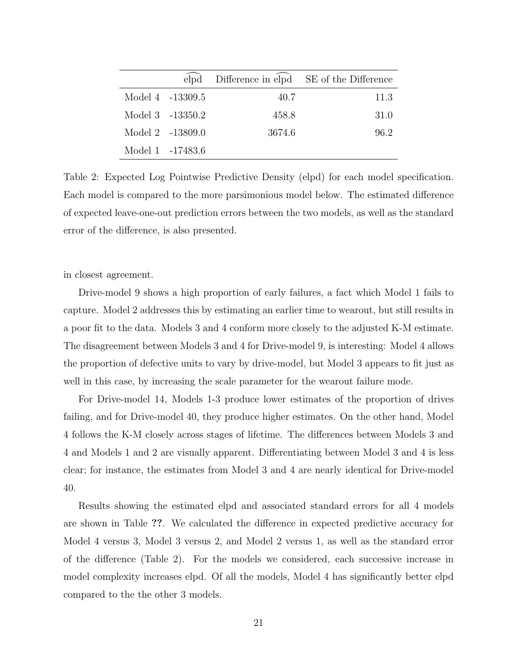|                  |        | elpd Difference in elpd SE of the Difference |
|------------------|--------|----------------------------------------------|
| Model 4 -13309.5 | 40.7   | 11.3                                         |
| Model 3 -13350.2 | 458.8  | 31.0                                         |
| Model 2 -13809.0 | 3674.6 | 96.2                                         |
| Model 1 -17483.6 |        |                                              |

Table 2: Expected Log Pointwise Predictive Density (elpd) for each model specification. Each model is compared to the more parsimonious model below. The estimated difference of expected leave-one-out prediction errors between the two models, as well as the standard error of the difference, is also presented.

in closest agreement.

Drive-model 9 shows a high proportion of early failures, a fact which Model 1 fails to capture. Model 2 addresses this by estimating an earlier time to wearout, but still results in a poor fit to the data. Models 3 and 4 conform more closely to the adjusted K-M estimate. The disagreement between Models 3 and 4 for Drive-model 9, is interesting: Model 4 allows the proportion of defective units to vary by drive-model, but Model 3 appears to fit just as well in this case, by increasing the scale parameter for the wearout failure mode.

For Drive-model 14, Models 1-3 produce lower estimates of the proportion of drives failing, and for Drive-model 40, they produce higher estimates. On the other hand, Model 4 follows the K-M closely across stages of lifetime. The differences between Models 3 and 4 and Models 1 and 2 are visually apparent. Differentiating between Model 3 and 4 is less clear; for instance, the estimates from Model 3 and 4 are nearly identical for Drive-model 40.

Results showing the estimated elpd and associated standard errors for all 4 models are shown in Table ??. We calculated the difference in expected predictive accuracy for Model 4 versus 3, Model 3 versus 2, and Model 2 versus 1, as well as the standard error of the difference (Table 2). For the models we considered, each successive increase in model complexity increases elpd. Of all the models, Model 4 has significantly better elpd compared to the the other 3 models.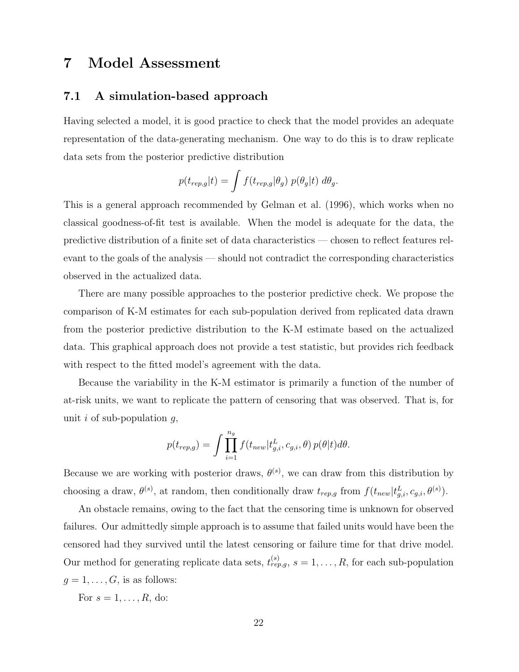### 7 Model Assessment

### 7.1 A simulation-based approach

Having selected a model, it is good practice to check that the model provides an adequate representation of the data-generating mechanism. One way to do this is to draw replicate data sets from the posterior predictive distribution

$$
p(t_{rep,g}|t) = \int f(t_{rep,g}|\theta_g) p(\theta_g|t) d\theta_g.
$$

This is a general approach recommended by Gelman et al. (1996), which works when no classical goodness-of-fit test is available. When the model is adequate for the data, the predictive distribution of a finite set of data characteristics — chosen to reflect features relevant to the goals of the analysis — should not contradict the corresponding characteristics observed in the actualized data.

There are many possible approaches to the posterior predictive check. We propose the comparison of K-M estimates for each sub-population derived from replicated data drawn from the posterior predictive distribution to the K-M estimate based on the actualized data. This graphical approach does not provide a test statistic, but provides rich feedback with respect to the fitted model's agreement with the data.

Because the variability in the K-M estimator is primarily a function of the number of at-risk units, we want to replicate the pattern of censoring that was observed. That is, for unit i of sub-population  $q$ ,

$$
p(t_{rep,g}) = \int \prod_{i=1}^{n_g} f(t_{new}|t_{g,i}^L, c_{g,i}, \theta) p(\theta|t) d\theta.
$$

Because we are working with posterior draws,  $\theta^{(s)}$ , we can draw from this distribution by choosing a draw,  $\theta^{(s)}$ , at random, then conditionally draw  $t_{rep,g}$  from  $f(t_{new}|t_{g,i}^L, c_{g,i}, \theta^{(s)})$ .

An obstacle remains, owing to the fact that the censoring time is unknown for observed failures. Our admittedly simple approach is to assume that failed units would have been the censored had they survived until the latest censoring or failure time for that drive model. Our method for generating replicate data sets,  $t_{rep,g}^{(s)}$ ,  $s = 1, \ldots, R$ , for each sub-population  $g = 1, \ldots, G$ , is as follows:

For  $s = 1, \ldots, R$ , do: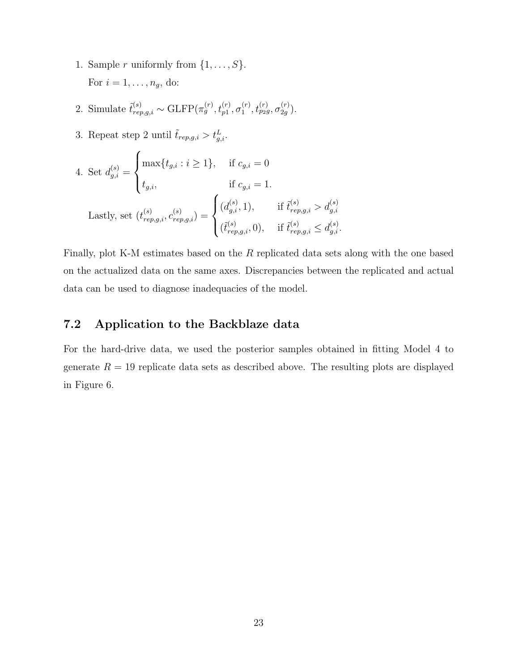- 1. Sample *r* uniformly from  $\{1, \ldots, S\}$ . For  $i = 1, \ldots, n_g$ , do:
- 2. Simulate  $\tilde{t}_{rep,g,i}^{(s)} \sim \text{GLFP}(\pi_g^{(r)}, t_{p1}^{(r)}, \sigma_1^{(r)})$  $\mathcal{h}^{(r)}_1, \mathcal{t}^{(r)}_{p_2g}, \sigma^{(r)}_{2g}$  $\binom{(r)}{2g}$ .
- 3. Repeat step 2 until  $\tilde{t}_{rep,g,i} > t_{g,i}^L$ .

4. Set 
$$
d_{g,i}^{(s)} = \begin{cases} \max\{t_{g,i} : i \ge 1\}, & \text{if } c_{g,i} = 0 \\ t_{g,i}, & \text{if } c_{g,i} = 1. \end{cases}
$$
  
Lastly, set  $(t_{rep,g,i}^{(s)}, c_{rep,g,i}^{(s)}) = \begin{cases} (d_{g,i}^{(s)}, 1), & \text{if } \tilde{t}_{rep,g,i}^{(s)} > d_{g,i}^{(s)} \\ (\tilde{t}_{rep,g,i}^{(s)}, 0), & \text{if } \tilde{t}_{rep,g,i}^{(s)} \le d_{g,i}^{(s)} \end{cases}$ 

Finally, plot K-M estimates based on the R replicated data sets along with the one based on the actualized data on the same axes. Discrepancies between the replicated and actual data can be used to diagnose inadequacies of the model.

### 7.2 Application to the Backblaze data

For the hard-drive data, we used the posterior samples obtained in fitting Model 4 to generate  $R = 19$  replicate data sets as described above. The resulting plots are displayed in Figure 6.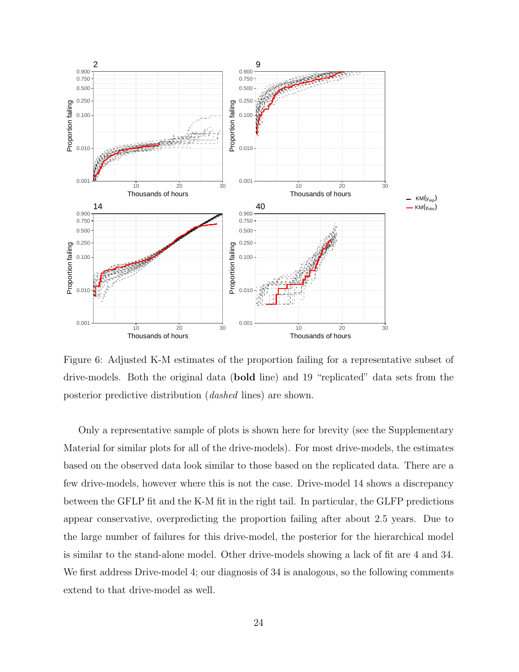

Figure 6: Adjusted K-M estimates of the proportion failing for a representative subset of drive-models. Both the original data (bold line) and 19 "replicated" data sets from the posterior predictive distribution (dashed lines) are shown.

Only a representative sample of plots is shown here for brevity (see the Supplementary Material for similar plots for all of the drive-models). For most drive-models, the estimates based on the observed data look similar to those based on the replicated data. There are a few drive-models, however where this is not the case. Drive-model 14 shows a discrepancy between the GFLP fit and the K-M fit in the right tail. In particular, the GLFP predictions appear conservative, overpredicting the proportion failing after about 2.5 years. Due to the large number of failures for this drive-model, the posterior for the hierarchical model is similar to the stand-alone model. Other drive-models showing a lack of fit are 4 and 34. We first address Drive-model 4; our diagnosis of 34 is analogous, so the following comments extend to that drive-model as well.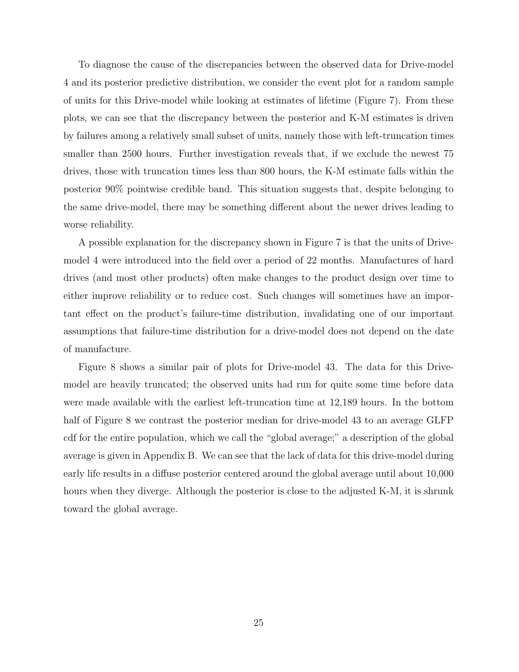To diagnose the cause of the discrepancies between the observed data for Drive-model 4 and its posterior predictive distribution, we consider the event plot for a random sample of units for this Drive-model while looking at estimates of lifetime (Figure 7). From these plots, we can see that the discrepancy between the posterior and K-M estimates is driven by failures among a relatively small subset of units, namely those with left-truncation times smaller than 2500 hours. Further investigation reveals that, if we exclude the newest 75 drives, those with truncation times less than 800 hours, the K-M estimate falls within the posterior 90% pointwise credible band. This situation suggests that, despite belonging to the same drive-model, there may be something different about the newer drives leading to worse reliability.

A possible explanation for the discrepancy shown in Figure 7 is that the units of Drivemodel 4 were introduced into the field over a period of 22 months. Manufactures of hard drives (and most other products) often make changes to the product design over time to either improve reliability or to reduce cost. Such changes will sometimes have an important effect on the product's failure-time distribution, invalidating one of our important assumptions that failure-time distribution for a drive-model does not depend on the date of manufacture.

Figure 8 shows a similar pair of plots for Drive-model 43. The data for this Drivemodel are heavily truncated; the observed units had run for quite some time before data were made available with the earliest left-truncation time at 12,189 hours. In the bottom half of Figure 8 we contrast the posterior median for drive-model 43 to an average GLFP cdf for the entire population, which we call the "global average;" a description of the global average is given in Appendix B. We can see that the lack of data for this drive-model during early life results in a diffuse posterior centered around the global average until about 10,000 hours when they diverge. Although the posterior is close to the adjusted K-M, it is shrunk toward the global average.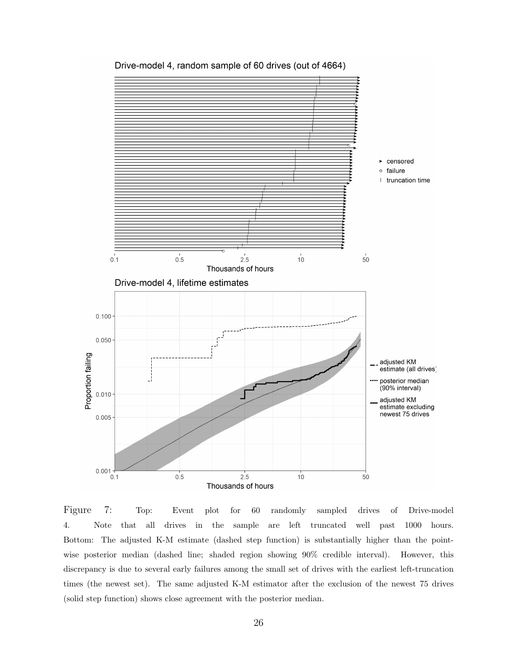

Drive-model 4, random sample of 60 drives (out of 4664)

Figure 7: Top: Event plot for 60 randomly sampled drives of Drive-model 4. Note that all drives in the sample are left truncated well past 1000 hours. Bottom: The adjusted K-M estimate (dashed step function) is substantially higher than the pointwise posterior median (dashed line; shaded region showing 90% credible interval). However, this discrepancy is due to several early failures among the small set of drives with the earliest left-truncation times (the newest set). The same adjusted K-M estimator after the exclusion of the newest 75 drives (solid step function) shows close agreement with the posterior median.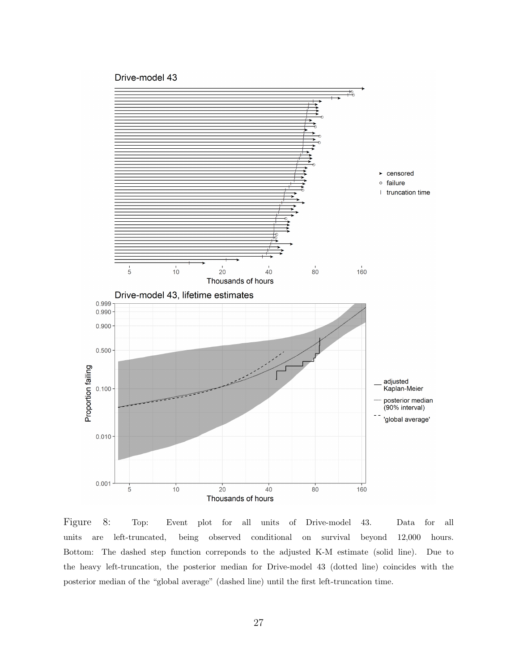#### Drive-model 43



Figure 8: Top: Event plot for all units of Drive-model 43. Data for all units are left-truncated, being observed conditional on survival beyond 12,000 hours. Bottom: The dashed step function correponds to the adjusted K-M estimate (solid line). Due to the heavy left-truncation, the posterior median for Drive-model 43 (dotted line) coincides with the posterior median of the "global average" (dashed line) until the first left-truncation time.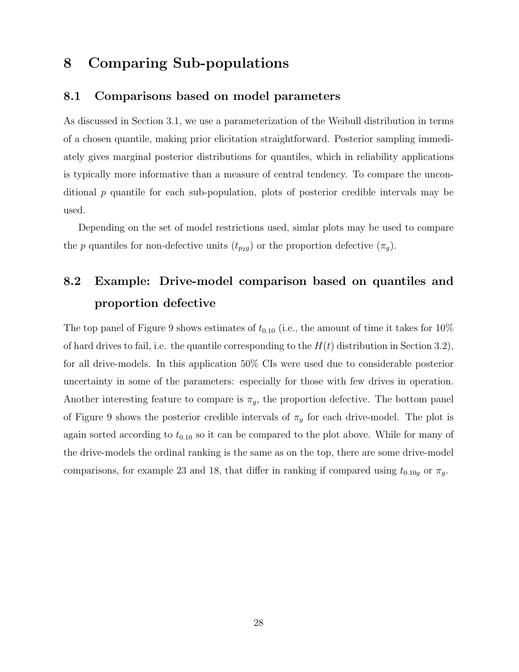## 8 Comparing Sub-populations

#### 8.1 Comparisons based on model parameters

As discussed in Section 3.1, we use a parameterization of the Weibull distribution in terms of a chosen quantile, making prior elicitation straightforward. Posterior sampling immediately gives marginal posterior distributions for quantiles, which in reliability applications is typically more informative than a measure of central tendency. To compare the unconditional  $p$  quantile for each sub-population, plots of posterior credible intervals may be used.

Depending on the set of model restrictions used, simlar plots may be used to compare the p quantiles for non-defective units  $(t_{p_2g})$  or the proportion defective  $(\pi_g)$ .

# 8.2 Example: Drive-model comparison based on quantiles and proportion defective

The top panel of Figure 9 shows estimates of  $t_{0.10}$  (i.e., the amount of time it takes for 10%) of hard drives to fail, i.e. the quantile corresponding to the  $H(t)$  distribution in Section 3.2), for all drive-models. In this application 50% CIs were used due to considerable posterior uncertainty in some of the parameters: especially for those with few drives in operation. Another interesting feature to compare is  $\pi_g$ , the proportion defective. The bottom panel of Figure 9 shows the posterior credible intervals of  $\pi_g$  for each drive-model. The plot is again sorted according to  $t_{0.10}$  so it can be compared to the plot above. While for many of the drive-models the ordinal ranking is the same as on the top, there are some drive-model comparisons, for example 23 and 18, that differ in ranking if compared using  $t_{0.10g}$  or  $\pi_g$ .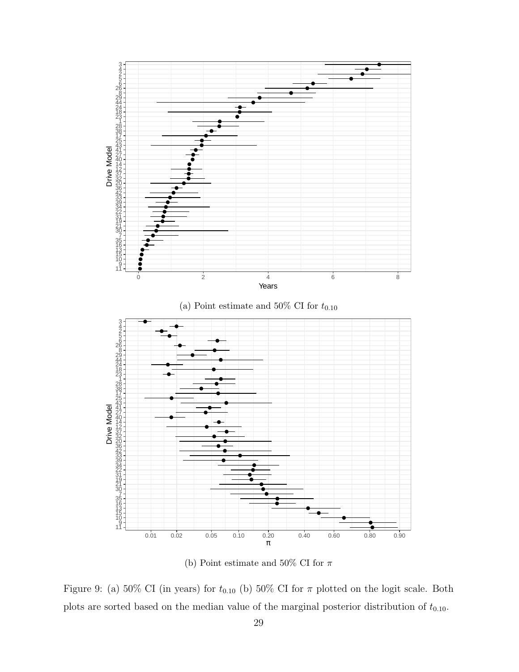

(b) Point estimate and 50% CI for  $\pi$ 

Figure 9: (a) 50% CI (in years) for  $t_{0.10}$  (b) 50% CI for  $\pi$  plotted on the logit scale. Both plots are sorted based on the median value of the marginal posterior distribution of  $t_{0.10}$ .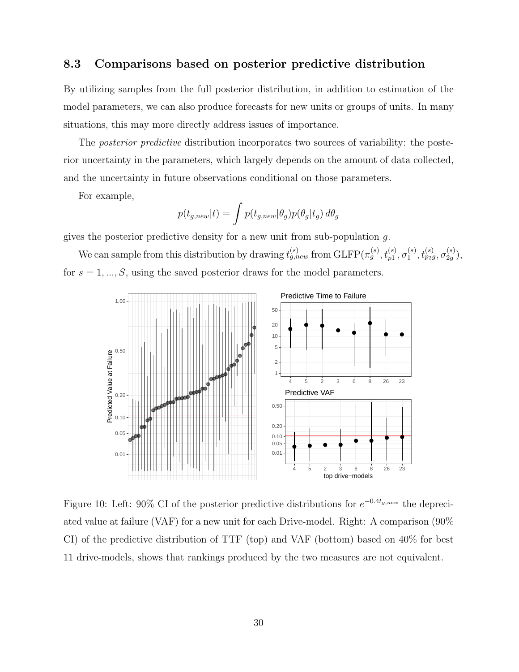### 8.3 Comparisons based on posterior predictive distribution

By utilizing samples from the full posterior distribution, in addition to estimation of the model parameters, we can also produce forecasts for new units or groups of units. In many situations, this may more directly address issues of importance.

The *posterior predictive* distribution incorporates two sources of variability: the posterior uncertainty in the parameters, which largely depends on the amount of data collected, and the uncertainty in future observations conditional on those parameters.

For example,

$$
p(t_{g,new}|t) = \int p(t_{g,new}|\theta_g) p(\theta_g|t_g) d\theta_g
$$

gives the posterior predictive density for a new unit from sub-population g.

We can sample from this distribution by drawing  $t_{g,new}^{(s)}$  from  $\text{GLFP}(\pi_g^{(s)},t_{p1}^{(s)},\sigma_1^{(s)})$  $_1^{(s)},t_{p_2g}^{(s)},\sigma_{2g}^{(s)}$  $\binom{(s)}{2g},$ for  $s = 1, ..., S$ , using the saved posterior draws for the model parameters.



Figure 10: Left: 90% CI of the posterior predictive distributions for  $e^{-0.4t_{g,new}}$  the depreciated value at failure (VAF) for a new unit for each Drive-model. Right: A comparison (90% CI) of the predictive distribution of TTF (top) and VAF (bottom) based on 40% for best 11 drive-models, shows that rankings produced by the two measures are not equivalent.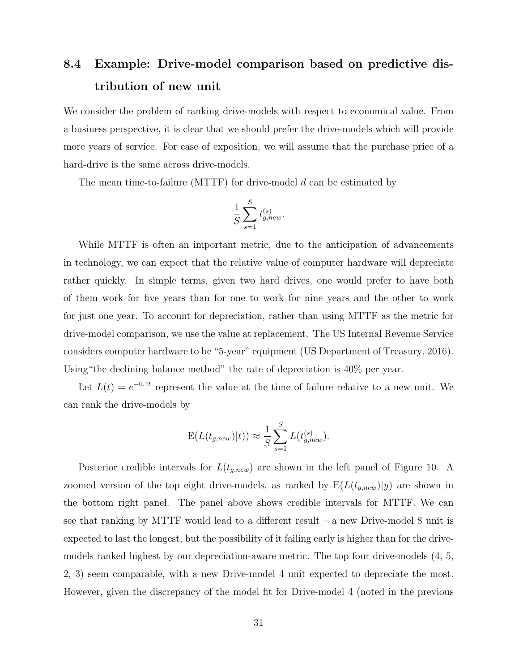# 8.4 Example: Drive-model comparison based on predictive distribution of new unit

We consider the problem of ranking drive-models with respect to economical value. From a business perspective, it is clear that we should prefer the drive-models which will provide more years of service. For ease of exposition, we will assume that the purchase price of a hard-drive is the same across drive-models.

The mean time-to-failure (MTTF) for drive-model  $d$  can be estimated by

$$
\frac{1}{S} \sum_{s=1}^{S} t_{g,new}^{(s)}.
$$

While MTTF is often an important metric, due to the anticipation of advancements in technology, we can expect that the relative value of computer hardware will depreciate rather quickly. In simple terms, given two hard drives, one would prefer to have both of them work for five years than for one to work for nine years and the other to work for just one year. To account for depreciation, rather than using MTTF as the metric for drive-model comparison, we use the value at replacement. The US Internal Revenue Service considers computer hardware to be "5-year" equipment (US Department of Treasury, 2016). Using"the declining balance method" the rate of depreciation is 40% per year.

Let  $L(t) = e^{-0.4t}$  represent the value at the time of failure relative to a new unit. We can rank the drive-models by

$$
E(L(t_{g,new})|t)) \approx \frac{1}{S} \sum_{s=1}^{S} L(t_{g,new}^{(s)}).
$$

Posterior credible intervals for  $L(t_{g,new})$  are shown in the left panel of Figure 10. A zoomed version of the top eight drive-models, as ranked by  $E(L(t_{g,new})|y)$  are shown in the bottom right panel. The panel above shows credible intervals for MTTF. We can see that ranking by MTTF would lead to a different result – a new Drive-model 8 unit is expected to last the longest, but the possibility of it failing early is higher than for the drivemodels ranked highest by our depreciation-aware metric. The top four drive-models (4, 5, 2, 3) seem comparable, with a new Drive-model 4 unit expected to depreciate the most. However, given the discrepancy of the model fit for Drive-model 4 (noted in the previous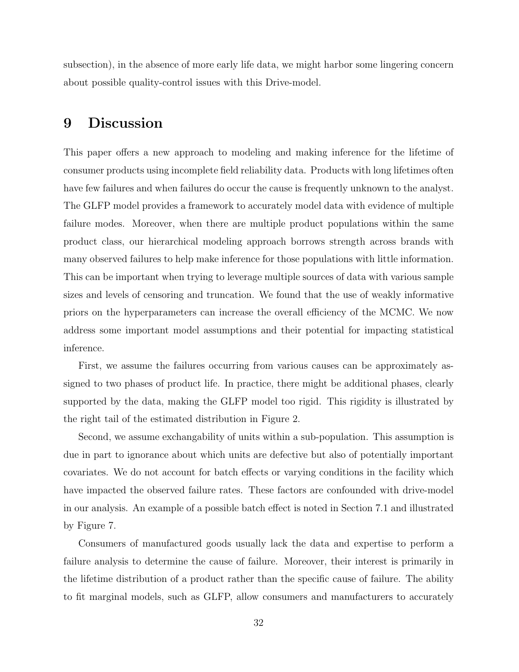subsection), in the absence of more early life data, we might harbor some lingering concern about possible quality-control issues with this Drive-model.

### 9 Discussion

This paper offers a new approach to modeling and making inference for the lifetime of consumer products using incomplete field reliability data. Products with long lifetimes often have few failures and when failures do occur the cause is frequently unknown to the analyst. The GLFP model provides a framework to accurately model data with evidence of multiple failure modes. Moreover, when there are multiple product populations within the same product class, our hierarchical modeling approach borrows strength across brands with many observed failures to help make inference for those populations with little information. This can be important when trying to leverage multiple sources of data with various sample sizes and levels of censoring and truncation. We found that the use of weakly informative priors on the hyperparameters can increase the overall efficiency of the MCMC. We now address some important model assumptions and their potential for impacting statistical inference.

First, we assume the failures occurring from various causes can be approximately assigned to two phases of product life. In practice, there might be additional phases, clearly supported by the data, making the GLFP model too rigid. This rigidity is illustrated by the right tail of the estimated distribution in Figure 2.

Second, we assume exchangability of units within a sub-population. This assumption is due in part to ignorance about which units are defective but also of potentially important covariates. We do not account for batch effects or varying conditions in the facility which have impacted the observed failure rates. These factors are confounded with drive-model in our analysis. An example of a possible batch effect is noted in Section 7.1 and illustrated by Figure 7.

Consumers of manufactured goods usually lack the data and expertise to perform a failure analysis to determine the cause of failure. Moreover, their interest is primarily in the lifetime distribution of a product rather than the specific cause of failure. The ability to fit marginal models, such as GLFP, allow consumers and manufacturers to accurately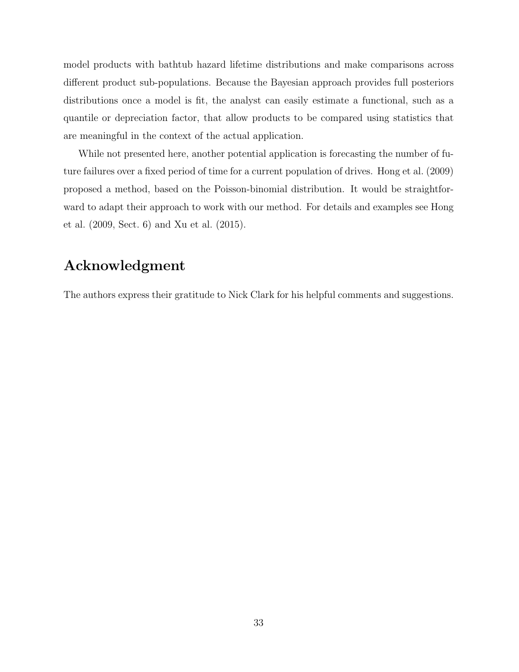model products with bathtub hazard lifetime distributions and make comparisons across different product sub-populations. Because the Bayesian approach provides full posteriors distributions once a model is fit, the analyst can easily estimate a functional, such as a quantile or depreciation factor, that allow products to be compared using statistics that are meaningful in the context of the actual application.

While not presented here, another potential application is forecasting the number of future failures over a fixed period of time for a current population of drives. Hong et al. (2009) proposed a method, based on the Poisson-binomial distribution. It would be straightforward to adapt their approach to work with our method. For details and examples see Hong et al. (2009, Sect. 6) and Xu et al. (2015).

### Acknowledgment

The authors express their gratitude to Nick Clark for his helpful comments and suggestions.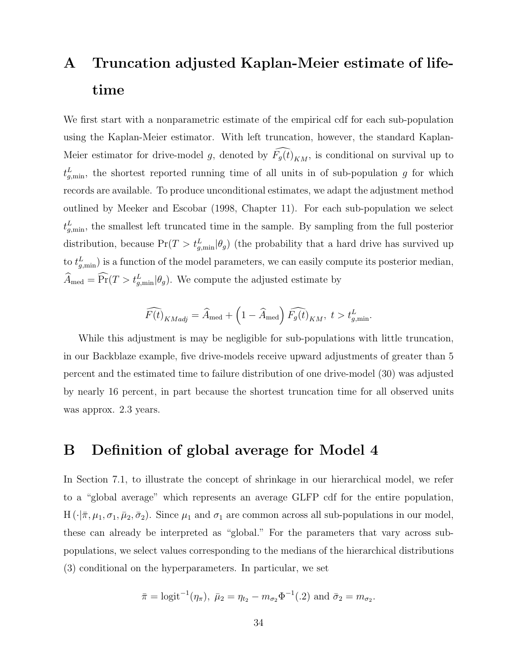# A Truncation adjusted Kaplan-Meier estimate of lifetime

We first start with a nonparametric estimate of the empirical cdf for each sub-population using the Kaplan-Meier estimator. With left truncation, however, the standard Kaplan-Meier estimator for drive-model g, denoted by  $\widehat{F_g(t)}_{KM}$ , is conditional on survival up to  $t_{g,\min}^L$ , the shortest reported running time of all units in of sub-population g for which records are available. To produce unconditional estimates, we adapt the adjustment method outlined by Meeker and Escobar (1998, Chapter 11). For each sub-population we select  $t_{g,\text{min}}^L$ , the smallest left truncated time in the sample. By sampling from the full posterior distribution, because  $Pr(T > t_{g,min}^L | \theta_g)$  (the probability that a hard drive has survived up to  $t_{g,\text{min}}^L$ ) is a function of the model parameters, we can easily compute its posterior median,  $\widehat{A}_{\text{med}} = \widehat{\Pr}(T > t_{g,\min}^L | \theta_g)$ . We compute the adjusted estimate by

$$
\widehat{F(t)}_{KMadj} = \widehat{A}_{\text{med}} + \left(1 - \widehat{A}_{\text{med}}\right) \widehat{F_g(t)}_{KM}, \ t > t_{g,\text{min}}^L.
$$

While this adjustment is may be negligible for sub-populations with little truncation, in our Backblaze example, five drive-models receive upward adjustments of greater than 5 percent and the estimated time to failure distribution of one drive-model (30) was adjusted by nearly 16 percent, in part because the shortest truncation time for all observed units was approx. 2.3 years.

### B Definition of global average for Model 4

In Section 7.1, to illustrate the concept of shrinkage in our hierarchical model, we refer to a "global average" which represents an average GLFP cdf for the entire population, H  $(\cdot|\bar{\pi}, \mu_1, \sigma_1, \bar{\mu}_2, \bar{\sigma}_2)$ . Since  $\mu_1$  and  $\sigma_1$  are common across all sub-populations in our model, these can already be interpreted as "global." For the parameters that vary across subpopulations, we select values corresponding to the medians of the hierarchical distributions (3) conditional on the hyperparameters. In particular, we set

$$
\bar{\pi} = \text{logit}^{-1}(\eta_{\pi}), \ \bar{\mu}_2 = \eta_{t_2} - m_{\sigma_2} \Phi^{-1}(.2) \text{ and } \bar{\sigma}_2 = m_{\sigma_2}.
$$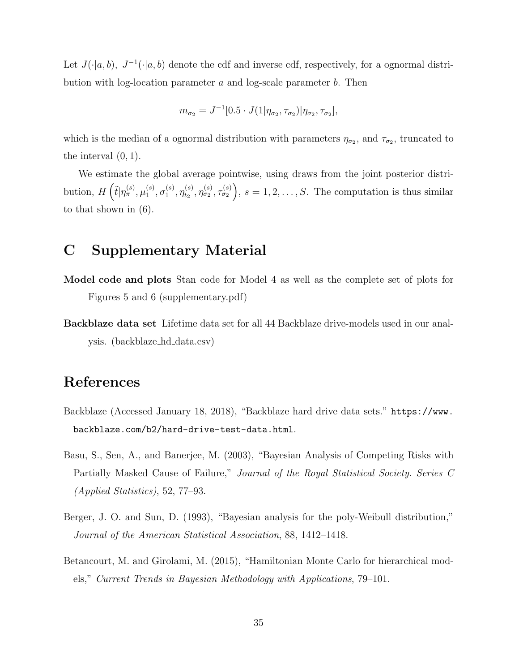Let  $J(\cdot|a, b)$ ,  $J^{-1}(\cdot|a, b)$  denote the cdf and inverse cdf, respectively, for a ognormal distribution with log-location parameter a and log-scale parameter b. Then

$$
m_{\sigma_2} = J^{-1} [0.5 \cdot J(1 | \eta_{\sigma_2}, \tau_{\sigma_2}) | \eta_{\sigma_2}, \tau_{\sigma_2}],
$$

which is the median of a ognormal distribution with parameters  $\eta_{\sigma_2}$ , and  $\tau_{\sigma_2}$ , truncated to the interval (0, 1).

We estimate the global average pointwise, using draws from the joint posterior distribution,  $H\left(\tilde{t}|\eta_\pi^{(s)},\mu_1^{(s)}\right)$  $_1^{(s)}, \sigma_1^{(s)}$  $\stackrel{(s)}{1},\eta^{(s)}_{t_2}$  $t_2^{(s)}, \eta_{\sigma_2}^{(s)}, \tau_{\sigma_2}^{(s)}\Big), s = 1, 2, \ldots, S.$  The computation is thus similar to that shown in (6).

### C Supplementary Material

- Model code and plots Stan code for Model 4 as well as the complete set of plots for Figures 5 and 6 (supplementary.pdf)
- Backblaze data set Lifetime data set for all 44 Backblaze drive-models used in our analysis. (backblaze hd data.csv)

# References

- Backblaze (Accessed January 18, 2018), "Backblaze hard drive data sets." https://www. backblaze.com/b2/hard-drive-test-data.html.
- Basu, S., Sen, A., and Banerjee, M. (2003), "Bayesian Analysis of Competing Risks with Partially Masked Cause of Failure," Journal of the Royal Statistical Society. Series C (Applied Statistics), 52, 77–93.
- Berger, J. O. and Sun, D. (1993), "Bayesian analysis for the poly-Weibull distribution," Journal of the American Statistical Association, 88, 1412–1418.
- Betancourt, M. and Girolami, M. (2015), "Hamiltonian Monte Carlo for hierarchical models," Current Trends in Bayesian Methodology with Applications, 79–101.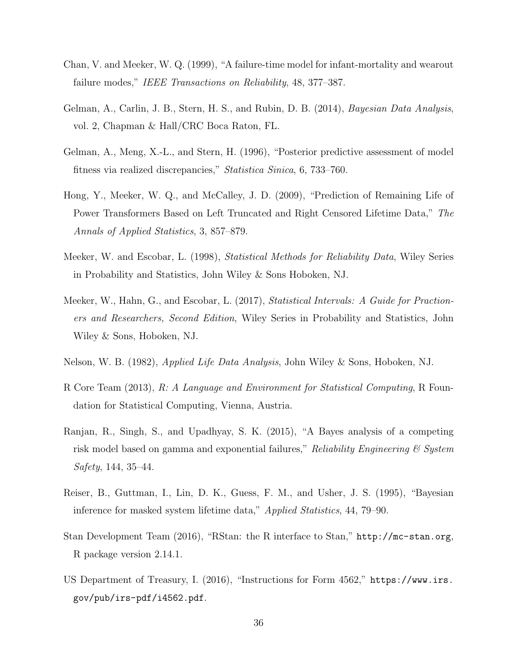- Chan, V. and Meeker, W. Q. (1999), "A failure-time model for infant-mortality and wearout failure modes," IEEE Transactions on Reliability, 48, 377–387.
- Gelman, A., Carlin, J. B., Stern, H. S., and Rubin, D. B. (2014), *Bayesian Data Analysis*, vol. 2, Chapman & Hall/CRC Boca Raton, FL.
- Gelman, A., Meng, X.-L., and Stern, H. (1996), "Posterior predictive assessment of model fitness via realized discrepancies," Statistica Sinica, 6, 733–760.
- Hong, Y., Meeker, W. Q., and McCalley, J. D. (2009), "Prediction of Remaining Life of Power Transformers Based on Left Truncated and Right Censored Lifetime Data," The Annals of Applied Statistics, 3, 857–879.
- Meeker, W. and Escobar, L. (1998), *Statistical Methods for Reliability Data*, Wiley Series in Probability and Statistics, John Wiley & Sons Hoboken, NJ.
- Meeker, W., Hahn, G., and Escobar, L. (2017), Statistical Intervals: A Guide for Practioners and Researchers, Second Edition, Wiley Series in Probability and Statistics, John Wiley & Sons, Hoboken, NJ.
- Nelson, W. B. (1982), Applied Life Data Analysis, John Wiley & Sons, Hoboken, NJ.
- R Core Team (2013), R: A Language and Environment for Statistical Computing, R Foundation for Statistical Computing, Vienna, Austria.
- Ranjan, R., Singh, S., and Upadhyay, S. K. (2015), "A Bayes analysis of a competing risk model based on gamma and exponential failures," Reliability Engineering  $\mathcal{C}$  System Safety, 144, 35–44.
- Reiser, B., Guttman, I., Lin, D. K., Guess, F. M., and Usher, J. S. (1995), "Bayesian inference for masked system lifetime data," Applied Statistics, 44, 79–90.
- Stan Development Team (2016), "RStan: the R interface to Stan," http://mc-stan.org, R package version 2.14.1.
- US Department of Treasury, I. (2016), "Instructions for Form 4562," https://www.irs. gov/pub/irs-pdf/i4562.pdf.